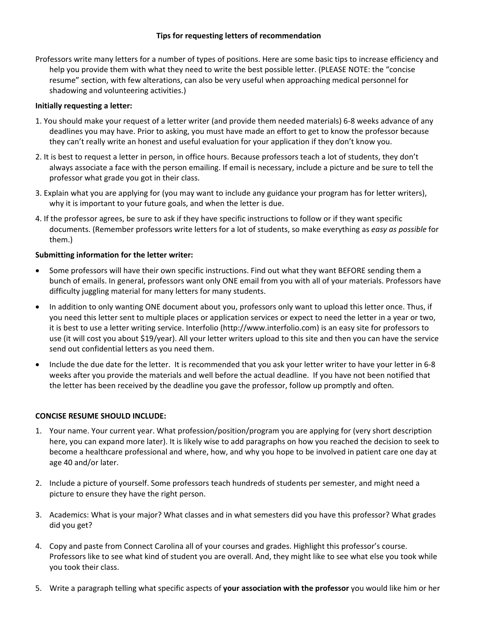### **Tips for requesting letters of recommendation**

Professors write many letters for a number of types of positions. Here are some basic tips to increase efficiency and help you provide them with what they need to write the best possible letter. (PLEASE NOTE: the "concise resume" section, with few alterations, can also be very useful when approaching medical personnel for shadowing and volunteering activities.)

## **Initially requesting a letter:**

- 1. You should make your request of a letter writer (and provide them needed materials) 6‐8 weeks advance of any deadlines you may have. Prior to asking, you must have made an effort to get to know the professor because they can't really write an honest and useful evaluation for your application if they don't know you.
- 2. It is best to request a letter in person, in office hours. Because professors teach a lot of students, they don't always associate a face with the person emailing. If email is necessary, include a picture and be sure to tell the professor what grade you got in their class.
- 3. Explain what you are applying for (you may want to include any guidance your program has for letter writers), why it is important to your future goals, and when the letter is due.
- 4. If the professor agrees, be sure to ask if they have specific instructions to follow or if they want specific documents. (Remember professors write letters for a lot of students, so make everything as *easy as possible* for them.)

### **Submitting information for the letter writer:**

- Some professors will have their own specific instructions. Find out what they want BEFORE sending them a bunch of emails. In general, professors want only ONE email from you with all of your materials. Professors have difficulty juggling material for many letters for many students.
- In addition to only wanting ONE document about you, professors only want to upload this letter once. Thus, if you need this letter sent to multiple places or application services or expect to need the letter in a year or two, it is best to use a letter writing service. Interfolio (http://www.interfolio.com) is an easy site for professors to use (it will cost you about \$19/year). All your letter writers upload to this site and then you can have the service send out confidential letters as you need them.
- Include the due date for the letter. It is recommended that you ask your letter writer to have your letter in 6-8 weeks after you provide the materials and well before the actual deadline. If you have not been notified that the letter has been received by the deadline you gave the professor, follow up promptly and often.

# **CONCISE RESUME SHOULD INCLUDE:**

- 1. Your name. Your current year. What profession/position/program you are applying for (very short description here, you can expand more later). It is likely wise to add paragraphs on how you reached the decision to seek to become a healthcare professional and where, how, and why you hope to be involved in patient care one day at age 40 and/or later.
- 2. Include a picture of yourself. Some professors teach hundreds of students per semester, and might need a picture to ensure they have the right person.
- 3. Academics: What is your major? What classes and in what semesters did you have this professor? What grades did you get?
- 4. Copy and paste from Connect Carolina all of your courses and grades. Highlight this professor's course. Professors like to see what kind of student you are overall. And, they might like to see what else you took while you took their class.
- 5. Write a paragraph telling what specific aspects of **your association with the professor** you would like him or her